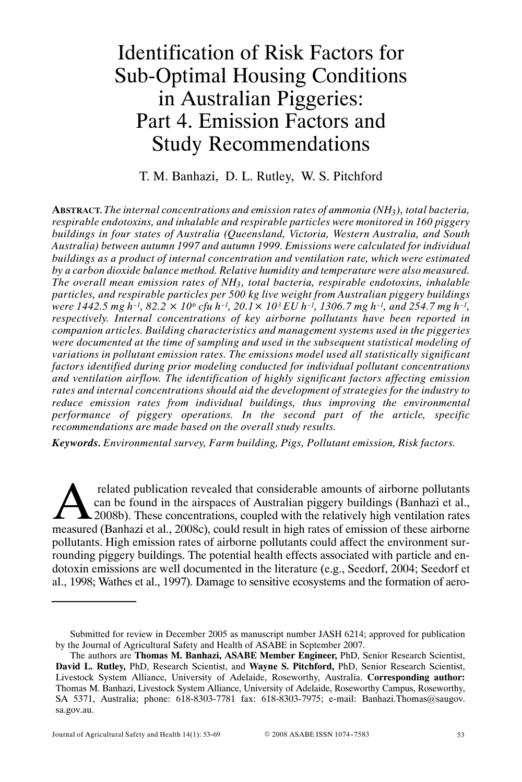# Identification of Risk Factors for Sub‐Optimal Housing Conditions in Australian Piggeries: Part 4. Emission Factors and Study Recommendations

T. M. Banhazi, D. L. Rutley, W. S. Pitchford

**ABSTRACT.** *The internal concentrations and emission rates of ammonia (NH3 ), total bacteria, respirable endotoxins, and inhalable and respirable particles were monitored in 160 piggery buildings in four states of Australia (Queensland, Victoria, Western Australia, and South Australia) between autumn 1997 and autumn 1999. Emissions were calculated for individual buildings as a product of internal concentration and ventilation rate, which were estimated by a carbon dioxide balance method. Relative humidity and temperature were also measured. The overall mean emission rates of NH3 , total bacteria, respirable endotoxins, inhalable particles, and respirable particles per 500 kg live weight from Australian piggery buildings were 1442.5 mg h-1, 82.2 × 106 cfu h-1, 20.1× 103 EU h-1, 1306.7 mg h-1, and 254.7 mg h-1, respectively. Internal concentrations of key airborne pollutants have been reported in companion articles. Building characteristics and management systems used in the piggeries were documented at the time of sampling and used in the subsequent statistical modeling of variations in pollutant emission rates. The emissions model used all statistically significant factors identified during prior modeling conducted for individual pollutant concentrations and ventilation airflow. The identification of highly significant factors affecting emission rates and internal concentrations should aid the development of strategies for the industry to reduce emission rates from individual buildings, thus improving the environmental performance of piggery operations. In the second part of the article, specific recommendations are made based on the overall study results.*

*Keywords. Environmental survey, Farm building, Pigs, Pollutant emission, Risk factors.*

 related publication revealed that considerable amounts of airborne pollutants can be found in the airspaces of Australian piggery buildings (Banhazi et al., 2008b). These concentrations, coupled with the relatively high ventilation rates related publication revealed that considerable amounts of airborne pollutants<br>can be found in the airspaces of Australian piggery buildings (Banhazi et al.,<br>2008b). These concentrations, coupled with the relatively high ve pollutants. High emission rates of airborne pollutants could affect the environment sur‐ rounding piggery buildings. The potential health effects associated with particle and en‐ dotoxin emissions are well documented in the literature (e.g., Seedorf, 2004; Seedorf et al., 1998; Wathes et al., 1997). Damage to sensitive ecosystems and the formation of aero-

Submitted for review in December 2005 as manuscript number JASH 6214; approved for publication by the Journal of Agricultural Safety and Health of ASABE in September 2007.

The authors are **Thomas M. Banhazi, ASABE Member Engineer,** PhD, Senior Research Scientist, **David L. Rutley,** PhD, Research Scientist, and **Wayne S. Pitchford,** PhD, Senior Research Scientist, Livestock System Alliance, University of Adelaide, Roseworthy, Australia. **Corresponding author:** Thomas M. Banhazi, Livestock System Alliance, University of Adelaide, Roseworthy Campus, Roseworthy, SA 5371, Australia; phone: 618‐8303‐7781 fax: 618‐8303‐7975; e‐mail: Banhazi.Thomas@saugov. sa.gov.au.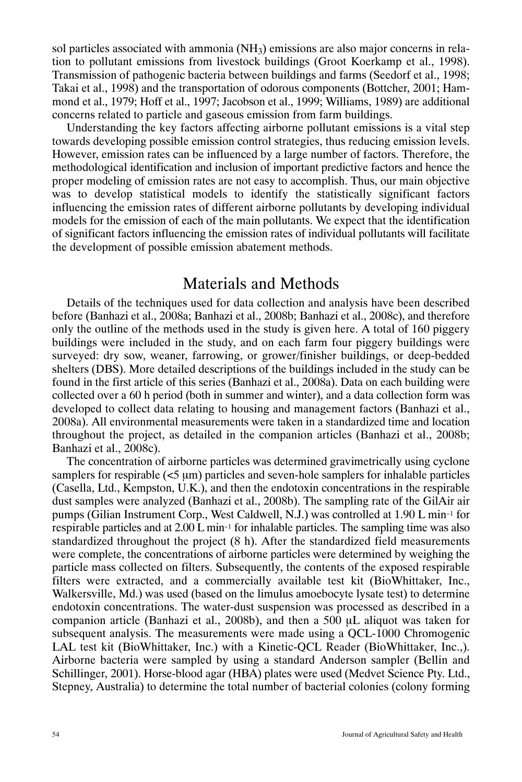sol particles associated with ammonia (NH<sub>3</sub>) emissions are also major concerns in relation to pollutant emissions from livestock buildings (Groot Koerkamp et al., 1998). Transmission of pathogenic bacteria between buildings and farms (Seedorf et al., 1998; Takai et al., 1998) and the transportation of odorous components (Bottcher, 2001; Ham‐ mond et al., 1979; Hoff et al., 1997; Jacobson et al., 1999; Williams, 1989) are additional concerns related to particle and gaseous emission from farm buildings.

Understanding the key factors affecting airborne pollutant emissions is a vital step towards developing possible emission control strategies, thus reducing emission levels. However, emission rates can be influenced by a large number of factors. Therefore, the methodological identification and inclusion of important predictive factors and hence the proper modeling of emission rates are not easy to accomplish. Thus, our main objective was to develop statistical models to identify the statistically significant factors influencing the emission rates of different airborne pollutants by developing individual models for the emission of each of the main pollutants. We expect that the identification of significant factors influencing the emission rates of individual pollutants will facilitate the development of possible emission abatement methods.

## Materials and Methods

Details of the techniques used for data collection and analysis have been described before (Banhazi et al., 2008a; Banhazi et al., 2008b; Banhazi et al., 2008c), and therefore only the outline of the methods used in the study is given here. A total of 160 piggery buildings were included in the study, and on each farm four piggery buildings were surveyed: dry sow, weaner, farrowing, or grower/finisher buildings, or deep-bedded shelters (DBS). More detailed descriptions of the buildings included in the study can be found in the first article of this series (Banhazi et al., 2008a). Data on each building were collected over a 60 h period (both in summer and winter), and a data collection form was developed to collect data relating to housing and management factors (Banhazi et al., 2008a). All environmental measurements were taken in a standardized time and location throughout the project, as detailed in the companion articles (Banhazi et al., 2008b; Banhazi et al., 2008c).

The concentration of airborne particles was determined gravimetrically using cyclone samplers for respirable  $(<5 \mu m)$  particles and seven-hole samplers for inhalable particles (Casella, Ltd., Kempston, U.K.), and then the endotoxin concentrations in the respirable dust samples were analyzed (Banhazi et al., 2008b). The sampling rate of the GilAir air pumps (Gilian Instrument Corp., West Caldwell, N.J.) was controlled at 1.90 L min-1 for respirable particles and at 2.00 L min-1 for inhalable particles. The sampling time was also standardized throughout the project (8 h). After the standardized field measurements were complete, the concentrations of airborne particles were determined by weighing the particle mass collected on filters. Subsequently, the contents of the exposed respirable filters were extracted, and a commercially available test kit (BioWhittaker, Inc., Walkersville, Md.) was used (based on the limulus amoebocyte lysate test) to determine endotoxin concentrations. The water‐dust suspension was processed as described in a companion article (Banhazi et al., 2008b), and then a 500 µL aliquot was taken for subsequent analysis. The measurements were made using a QCL-1000 Chromogenic LAL test kit (BioWhittaker, Inc.) with a Kinetic-QCL Reader (BioWhittaker, Inc.,). Airborne bacteria were sampled by using a standard Anderson sampler (Bellin and Schillinger, 2001). Horse‐blood agar (HBA) plates were used (Medvet Science Pty. Ltd., Stepney, Australia) to determine the total number of bacterial colonies (colony forming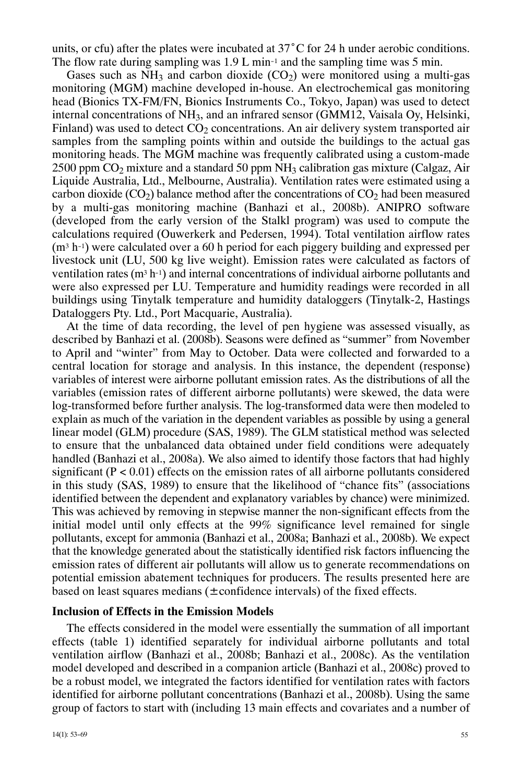units, or cfu) after the plates were incubated at  $37^{\circ}$ C for 24 h under aerobic conditions. The flow rate during sampling was 1.9 L min-1 and the sampling time was 5 min.

Gases such as NH<sub>3</sub> and carbon dioxide  $(CO<sub>2</sub>)$  were monitored using a multi-gas monitoring (MGM) machine developed in‐house. An electrochemical gas monitoring head (Bionics TX‐FM/FN, Bionics Instruments Co., Tokyo, Japan) was used to detect internal concentrations of NH3, and an infrared sensor (GMM12, Vaisala Oy, Helsinki, Finland) was used to detect  $CO<sub>2</sub>$  concentrations. An air delivery system transported air samples from the sampling points within and outside the buildings to the actual gas monitoring heads. The MGM machine was frequently calibrated using a custom-made 2500 ppm  $CO<sub>2</sub>$  mixture and a standard 50 ppm NH<sub>3</sub> calibration gas mixture (Calgaz, Air Liquide Australia, Ltd., Melbourne, Australia). Ventilation rates were estimated using a carbon dioxide ( $CO<sub>2</sub>$ ) balance method after the concentrations of  $CO<sub>2</sub>$  had been measured by a multi‐gas monitoring machine (Banhazi et al., 2008b). ANIPRO software (developed from the early version of the Stalkl program) was used to compute the calculations required (Ouwerkerk and Pedersen, 1994). Total ventilation airflow rates  $(m<sup>3</sup> h<sup>-1</sup>)$  were calculated over a 60 h period for each piggery building and expressed per livestock unit (LU, 500 kg live weight). Emission rates were calculated as factors of ventilation rates  $(m<sup>3</sup> h<sup>-1</sup>)$  and internal concentrations of individual airborne pollutants and were also expressed per LU. Temperature and humidity readings were recorded in all buildings using Tinytalk temperature and humidity dataloggers (Tinytalk‐2, Hastings Dataloggers Pty. Ltd., Port Macquarie, Australia).

At the time of data recording, the level of pen hygiene was assessed visually, as described by Banhazi et al. (2008b). Seasons were defined as "summer" from November to April and "winter" from May to October. Data were collected and forwarded to a central location for storage and analysis. In this instance, the dependent (response) variables of interest were airborne pollutant emission rates. As the distributions of all the variables (emission rates of different airborne pollutants) were skewed, the data were log‐transformed before further analysis. The log‐transformed data were then modeled to explain as much of the variation in the dependent variables as possible by using a general linear model (GLM) procedure (SAS, 1989). The GLM statistical method was selected to ensure that the unbalanced data obtained under field conditions were adequately handled (Banhazi et al., 2008a). We also aimed to identify those factors that had highly significant ( $P < 0.01$ ) effects on the emission rates of all airborne pollutants considered in this study (SAS, 1989) to ensure that the likelihood of "chance fits" (associations identified between the dependent and explanatory variables by chance) were minimized. This was achieved by removing in stepwise manner the non‐significant effects from the initial model until only effects at the 99% significance level remained for single pollutants, except for ammonia (Banhazi et al., 2008a; Banhazi et al., 2008b). We expect that the knowledge generated about the statistically identified risk factors influencing the emission rates of different air pollutants will allow us to generate recommendations on potential emission abatement techniques for producers. The results presented here are based on least squares medians  $(\pm$ confidence intervals) of the fixed effects.

#### **Inclusion of Effects in the Emission Models**

The effects considered in the model were essentially the summation of all important effects (table 1) identified separately for individual airborne pollutants and total ventilation airflow (Banhazi et al., 2008b; Banhazi et al., 2008c). As the ventilation model developed and described in a companion article (Banhazi et al., 2008c) proved to be a robust model, we integrated the factors identified for ventilation rates with factors identified for airborne pollutant concentrations (Banhazi et al., 2008b). Using the same group of factors to start with (including 13 main effects and covariates and a number of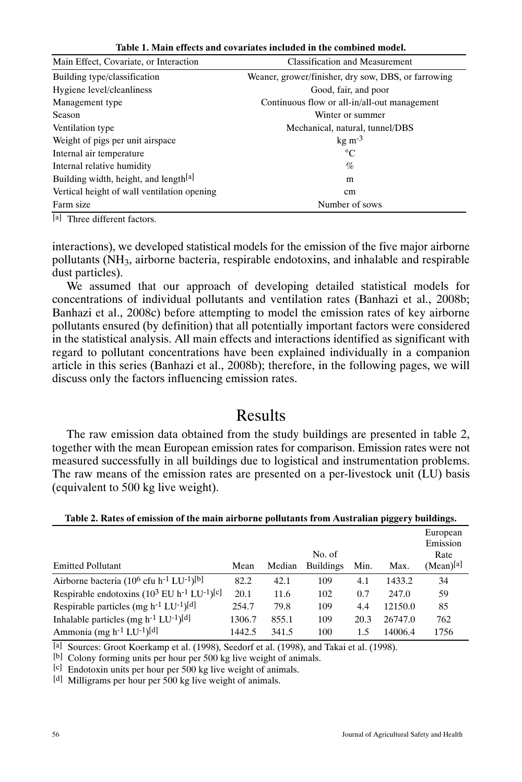**Table 1. Main effects and covariates included in the combined model.**

| Main Effect, Covariate, or Interaction            | <b>Classification and Measurement</b>               |
|---------------------------------------------------|-----------------------------------------------------|
| Building type/classification                      | Weaner, grower/finisher, dry sow, DBS, or farrowing |
| Hygiene level/cleanliness                         | Good, fair, and poor                                |
| Management type                                   | Continuous flow or all-in/all-out management        |
| <b>Season</b>                                     | Winter or summer                                    |
| Ventilation type                                  | Mechanical, natural, tunnel/DBS                     |
| Weight of pigs per unit airspace                  | $kg \, \text{m}^{-3}$                               |
| Internal air temperature                          | $^{\circ}C$                                         |
| Internal relative humidity                        | $\%$                                                |
| Building width, height, and length <sup>[a]</sup> | m                                                   |
| Vertical height of wall ventilation opening       | cm                                                  |
| Farm size                                         | Number of sows                                      |

[a] Three different factors.

interactions), we developed statistical models for the emission of the five major airborne pollutants (NH3, airborne bacteria, respirable endotoxins, and inhalable and respirable dust particles).

We assumed that our approach of developing detailed statistical models for concentrations of individual pollutants and ventilation rates (Banhazi et al., 2008b; Banhazi et al., 2008c) before attempting to model the emission rates of key airborne pollutants ensured (by definition) that all potentially important factors were considered in the statistical analysis. All main effects and interactions identified as significant with regard to pollutant concentrations have been explained individually in a companion article in this series (Banhazi et al., 2008b); therefore, in the following pages, we will discuss only the factors influencing emission rates.

### Results

The raw emission data obtained from the study buildings are presented in table 2, together with the mean European emission rates for comparison. Emission rates were not measured successfully in all buildings due to logistical and instrumentation problems. The raw means of the emission rates are presented on a per‐livestock unit (LU) basis (equivalent to 500 kg live weight).

| Table 2. Rates of emission of the main airborne pollutants from Australian piggery buildings. |                                |
|-----------------------------------------------------------------------------------------------|--------------------------------|
|                                                                                               | $\Gamma$ and a set of $\Gamma$ |

|                                                                                    |        |        |                  |      |         | European<br>Emission  |
|------------------------------------------------------------------------------------|--------|--------|------------------|------|---------|-----------------------|
|                                                                                    |        |        | No. of           |      |         | Rate                  |
| <b>Emitted Pollutant</b>                                                           | Mean   | Median | <b>Buildings</b> | Min. | Max.    | (Mean) <sup>[a]</sup> |
| Airborne bacteria ( $10^6$ cfu h <sup>-1</sup> LU <sup>-1</sup> ) <sup>[b]</sup>   | 82.2   | 42.1   | 109              | 4.1  | 1433.2  | 34                    |
| Respirable endotoxins $(10^3$ EU h <sup>-1</sup> LU <sup>-1</sup> ) <sup>[c]</sup> | 20.1   | 11.6   | 102              | 0.7  | 247.0   | 59                    |
| Respirable particles (mg $h^{-1}$ LU <sup>-1</sup> ) <sup>[d]</sup>                | 254.7  | 79.8   | 109              | 4.4  | 12150.0 | 85                    |
| Inhalable particles (mg $h^{-1}$ LU <sup>-1</sup> ) <sup>[d]</sup>                 | 1306.7 | 855.1  | 109              | 20.3 | 26747.0 | 762                   |
| Ammonia (mg $h^{-1}$ LU <sup>-1</sup> ) <sup>[d]</sup>                             | 1442.5 | 341.5  | 100              | 1.5  | 14006.4 | 1756                  |

[a] Sources: Groot Koerkamp et al. (1998), Seedorf et al. (1998), and Takai et al. (1998).

[b] Colony forming units per hour per 500 kg live weight of animals.

[c] Endotoxin units per hour per 500 kg live weight of animals.

[d] Milligrams per hour per 500 kg live weight of animals.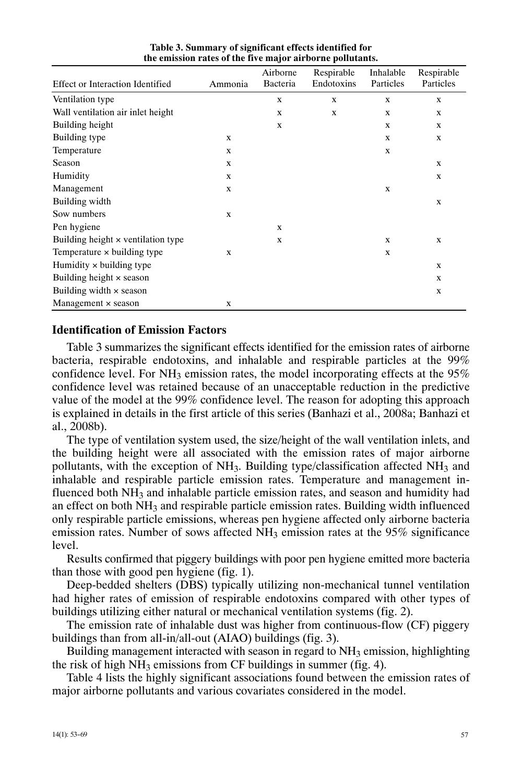|                                           |             | Airborne | Respirable | Inhalable | Respirable  |
|-------------------------------------------|-------------|----------|------------|-----------|-------------|
| <b>Effect or Interaction Identified</b>   | Ammonia     | Bacteria | Endotoxins | Particles | Particles   |
| Ventilation type                          |             | X        | X          | X         | X           |
| Wall ventilation air inlet height         |             | X        | X          | X         | X           |
| Building height                           |             | X        |            | X         | X           |
| Building type                             | X           |          |            | X         | X           |
| Temperature                               | X           |          |            | X         |             |
| Season                                    | X           |          |            |           | X           |
| Humidity                                  | X           |          |            |           | X           |
| Management                                | X           |          |            | X         |             |
| Building width                            |             |          |            |           | X           |
| Sow numbers                               | $\mathbf X$ |          |            |           |             |
| Pen hygiene                               |             | X        |            |           |             |
| Building height $\times$ ventilation type |             | X        |            | X         | $\mathbf X$ |
| Temperature $\times$ building type        | X           |          |            | X         |             |
| Humidity $\times$ building type           |             |          |            |           | X           |
| Building height $\times$ season           |             |          |            |           | X           |
| Building width $\times$ season            |             |          |            |           | X           |
| Management $\times$ season                | X           |          |            |           |             |

**Table 3. Summary of significant effects identified for the emission rates of the five major airborne pollutants.**

### **Identification of Emission Factors**

Table 3 summarizes the significant effects identified for the emission rates of airborne bacteria, respirable endotoxins, and inhalable and respirable particles at the 99% confidence level. For  $NH_3$  emission rates, the model incorporating effects at the 95% confidence level was retained because of an unacceptable reduction in the predictive value of the model at the 99% confidence level. The reason for adopting this approach is explained in details in the first article of this series (Banhazi et al., 2008a; Banhazi et al., 2008b).

The type of ventilation system used, the size/height of the wall ventilation inlets, and the building height were all associated with the emission rates of major airborne pollutants, with the exception of  $NH<sub>3</sub>$ . Building type/classification affected  $NH<sub>3</sub>$  and inhalable and respirable particle emission rates. Temperature and management in‐ fluenced both NH3 and inhalable particle emission rates, and season and humidity had an effect on both  $NH_3$  and respirable particle emission rates. Building width influenced only respirable particle emissions, whereas pen hygiene affected only airborne bacteria emission rates. Number of sows affected  $NH<sub>3</sub>$  emission rates at the 95% significance level.

Results confirmed that piggery buildings with poor pen hygiene emitted more bacteria than those with good pen hygiene (fig. 1).

Deep-bedded shelters (DBS) typically utilizing non-mechanical tunnel ventilation had higher rates of emission of respirable endotoxins compared with other types of buildings utilizing either natural or mechanical ventilation systems (fig. 2).

The emission rate of inhalable dust was higher from continuous-flow (CF) piggery buildings than from all‐in/all‐out (AIAO) buildings (fig. 3).

Building management interacted with season in regard to  $NH_3$  emission, highlighting the risk of high  $NH_3$  emissions from CF buildings in summer (fig. 4).

Table 4 lists the highly significant associations found between the emission rates of major airborne pollutants and various covariates considered in the model.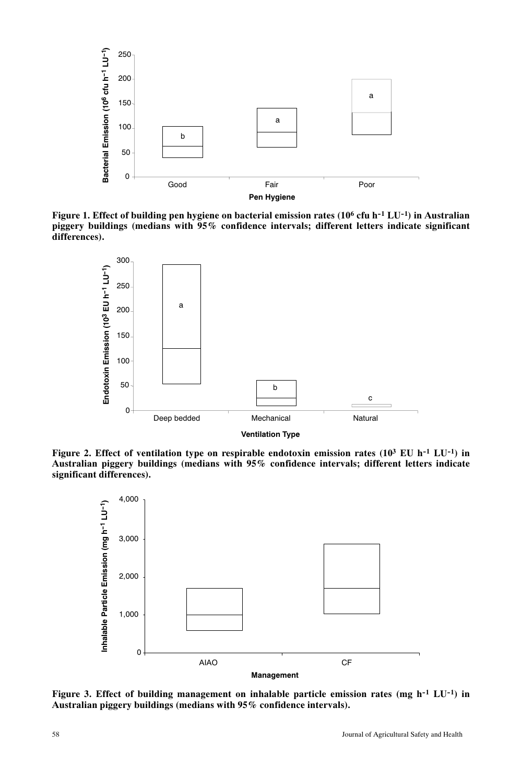

**Figure 1. Effect of building pen hygiene on bacterial emission rates (106 cfu h-1 LU-1) in Australian piggery buildings (medians with 95% confidence intervals; different letters indicate significant differences).**



**Ventilation Type**

**Figure 2. Effect of ventilation type on respirable endotoxin emission rates**  $(10^3 \text{ EU h}^{-1} \text{LU}^{-1})$  **in Australian piggery buildings (medians with 95% confidence intervals; different letters indicate significant differences).**



Figure 3. Effect of building management on inhalable particle emission rates (mg h<sup>-1</sup> LU<sup>-1</sup>) in **Australian piggery buildings (medians with 95% confidence intervals).**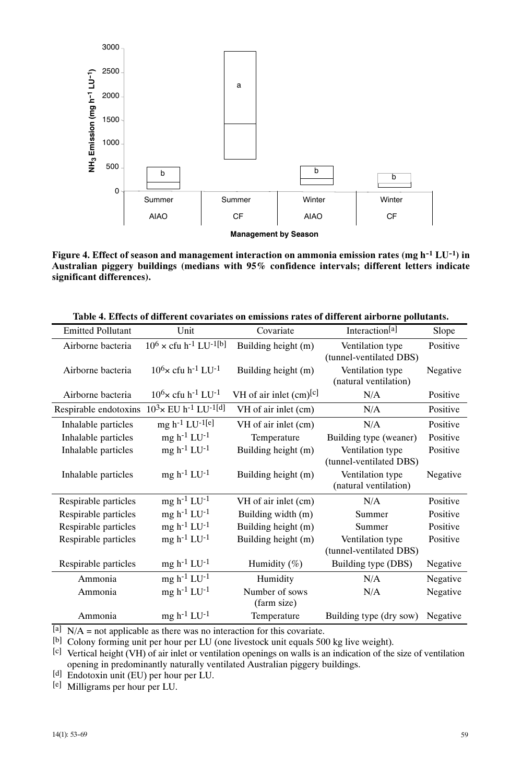

**Figure 4. Effect of season and management interaction on ammonia emission rates (mg h-1 LU-1) in Australian piggery buildings (medians with 95% confidence intervals; different letters indicate significant differences).**

| <b>Emitted Pollutant</b> | Unit                                                  | Covariate                                  | Interaction[a]                              | Slope    |
|--------------------------|-------------------------------------------------------|--------------------------------------------|---------------------------------------------|----------|
| Airborne bacteria        | $10^6 \times$ cfu h <sup>-1</sup> LU <sup>-1[b]</sup> | Building height (m)                        | Ventilation type<br>(tunnel-ventilated DBS) | Positive |
| Airborne bacteria        | $10^6$ x cfu h <sup>-1</sup> LU <sup>-1</sup>         | Building height (m)                        | Ventilation type<br>(natural ventilation)   | Negative |
| Airborne bacteria        | $10^6$ × cfu h <sup>-1</sup> LU <sup>-1</sup>         | VH of air inlet $(cm)^{\lfloor c \rfloor}$ | N/A                                         | Positive |
| Respirable endotoxins    | $10^3\times$ EU h <sup>-1</sup> LU <sup>-1[d]</sup>   | VH of air inlet (cm)                       | N/A                                         | Positive |
| Inhalable particles      | mg $h^{-1}$ LU <sup>-1[e]</sup>                       | VH of air inlet (cm)                       | N/A                                         | Positive |
| Inhalable particles      | mg $h^{-1}$ LU <sup>-1</sup>                          | Temperature                                | Building type (weaner)                      | Positive |
| Inhalable particles      | $mg h^{-1} LU^{-1}$                                   | Building height (m)                        | Ventilation type<br>(tunnel-ventilated DBS) | Positive |
| Inhalable particles      | mg $h^{-1}$ LU <sup>-1</sup>                          | Building height (m)                        | Ventilation type<br>(natural ventilation)   | Negative |
| Respirable particles     | $mg h^{-1} LU^{-1}$                                   | VH of air inlet (cm)                       | N/A                                         | Positive |
| Respirable particles     | mg $h^{-1}$ LU <sup>-1</sup>                          | Building width (m)                         | Summer                                      | Positive |
| Respirable particles     | mg $h^{-1}$ LU <sup>-1</sup>                          | Building height (m)                        | Summer                                      | Positive |
| Respirable particles     | mg $h^{-1}$ LU <sup>-1</sup>                          | Building height (m)                        | Ventilation type<br>(tunnel-ventilated DBS) | Positive |
| Respirable particles     | mg $h^{-1}$ LU <sup>-1</sup>                          | Humidity $(\% )$                           | Building type (DBS)                         | Negative |
| Ammonia                  | $mg h^{-1} LU^{-1}$                                   | Humidity                                   | N/A                                         | Negative |
| Ammonia                  | mg $h^{-1}$ LU <sup>-1</sup>                          | Number of sows<br>(farm size)              | N/A                                         | Negative |
| Ammonia                  | mg $h^{-1}$ LU <sup>-1</sup>                          | Temperature                                | Building type (dry sow)                     | Negative |

|  | Table 4. Effects of different covariates on emissions rates of different airborne pollutants. |  |  |  |
|--|-----------------------------------------------------------------------------------------------|--|--|--|
|--|-----------------------------------------------------------------------------------------------|--|--|--|

 $\boxed{a}$  N/A = not applicable as there was no interaction for this covariate.

[b] Colony forming unit per hour per LU (one livestock unit equals 500 kg live weight).

[c] Vertical height (VH) of air inlet or ventilation openings on walls is an indication of the size of ventilation opening in predominantly naturally ventilated Australian piggery buildings.

[d] Endotoxin unit (EU) per hour per LU.

[e] Milligrams per hour per LU.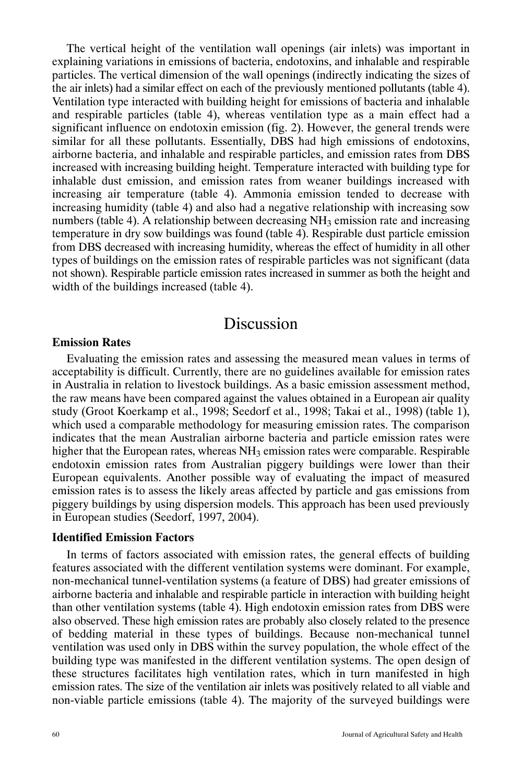The vertical height of the ventilation wall openings (air inlets) was important in explaining variations in emissions of bacteria, endotoxins, and inhalable and respirable particles. The vertical dimension of the wall openings (indirectly indicating the sizes of the air inlets) had a similar effect on each of the previously mentioned pollutants (table4). Ventilation type interacted with building height for emissions of bacteria and inhalable and respirable particles (table 4), whereas ventilation type as a main effect had a significant influence on endotoxin emission (fig. 2). However, the general trends were similar for all these pollutants. Essentially, DBS had high emissions of endotoxins, airborne bacteria, and inhalable and respirable particles, and emission rates from DBS increased with increasing building height. Temperature interacted with building type for inhalable dust emission, and emission rates from weaner buildings increased with increasing air temperature (table 4). Ammonia emission tended to decrease with increasing humidity (table 4) and also had a negative relationship with increasing sow numbers (table 4). A relationship between decreasing  $NH<sub>3</sub>$  emission rate and increasing temperature in dry sow buildings was found (table 4). Respirable dust particle emission from DBS decreased with increasing humidity, whereas the effect of humidity in all other types of buildings on the emission rates of respirable particles was not significant (data not shown). Respirable particle emission rates increased in summer as both the height and width of the buildings increased (table 4).

### Discussion

#### **Emission Rates**

Evaluating the emission rates and assessing the measured mean values in terms of acceptability is difficult. Currently, there are no guidelines available for emission rates in Australia in relation to livestock buildings. As a basic emission assessment method, the raw means have been compared against the values obtained in a European air quality study (Groot Koerkamp et al., 1998; Seedorf et al., 1998; Takai et al., 1998) (table 1), which used a comparable methodology for measuring emission rates. The comparison indicates that the mean Australian airborne bacteria and particle emission rates were higher that the European rates, whereas NH<sub>3</sub> emission rates were comparable. Respirable endotoxin emission rates from Australian piggery buildings were lower than their European equivalents. Another possible way of evaluating the impact of measured emission rates is to assess the likely areas affected by particle and gas emissions from piggery buildings by using dispersion models. This approach has been used previously in European studies (Seedorf, 1997, 2004).

### **Identified Emission Factors**

In terms of factors associated with emission rates, the general effects of building features associated with the different ventilation systems were dominant. For example, non‐mechanical tunnel‐ventilation systems (a feature of DBS) had greater emissions of airborne bacteria and inhalable and respirable particle in interaction with building height than other ventilation systems (table 4). High endotoxin emission rates from DBS were also observed. These high emission rates are probably also closely related to the presence of bedding material in these types of buildings. Because non‐mechanical tunnel ventilation was used only in DBS within the survey population, the whole effect of the building type was manifested in the different ventilation systems. The open design of these structures facilitates high ventilation rates, which in turn manifested in high emission rates. The size of the ventilation air inlets was positively related to all viable and non‐viable particle emissions (table 4). The majority of the surveyed buildings were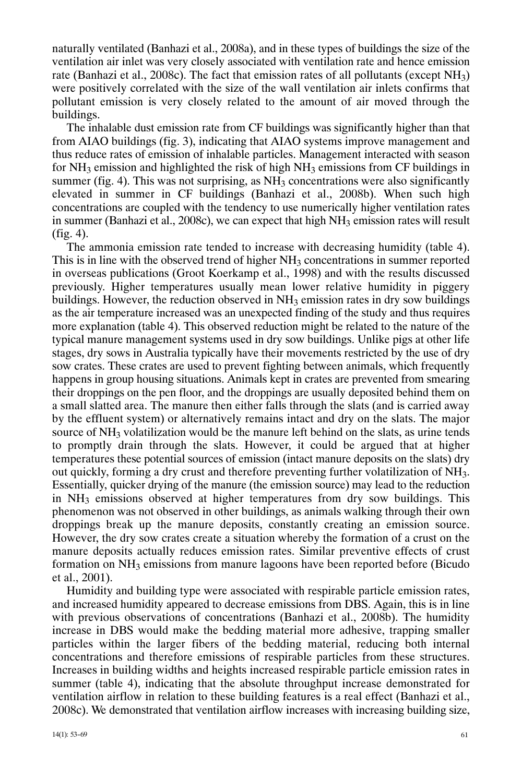naturally ventilated (Banhazi et al., 2008a), and in these types of buildings the size of the ventilation air inlet was very closely associated with ventilation rate and hence emission rate (Banhazi et al., 2008c). The fact that emission rates of all pollutants (except NH3) were positively correlated with the size of the wall ventilation air inlets confirms that pollutant emission is very closely related to the amount of air moved through the buildings.

The inhalable dust emission rate from CF buildings was significantly higher than that from AIAO buildings (fig. 3), indicating that AIAO systems improve management and thus reduce rates of emission of inhalable particles. Management interacted with season for  $NH_3$  emission and highlighted the risk of high  $NH_3$  emissions from CF buildings in summer (fig. 4). This was not surprising, as  $NH_3$  concentrations were also significantly elevated in summer in CF buildings (Banhazi et al., 2008b). When such high concentrations are coupled with the tendency to use numerically higher ventilation rates in summer (Banhazi et al.,  $2008c$ ), we can expect that high  $NH<sub>3</sub>$  emission rates will result (fig. 4).

The ammonia emission rate tended to increase with decreasing humidity (table 4). This is in line with the observed trend of higher  $NH<sub>3</sub>$  concentrations in summer reported in overseas publications (Groot Koerkamp et al., 1998) and with the results discussed previously. Higher temperatures usually mean lower relative humidity in piggery buildings. However, the reduction observed in  $NH<sub>3</sub>$  emission rates in dry sow buildings as the air temperature increased was an unexpected finding of the study and thus requires more explanation (table 4). This observed reduction might be related to the nature of the typical manure management systems used in dry sow buildings. Unlike pigs at other life stages, dry sows in Australia typically have their movements restricted by the use of dry sow crates. These crates are used to prevent fighting between animals, which frequently happens in group housing situations. Animals kept in crates are prevented from smearing their droppings on the pen floor, and the droppings are usually deposited behind them on a small slatted area. The manure then either falls through the slats (and is carried away by the effluent system) or alternatively remains intact and dry on the slats. The major source of NH<sub>3</sub> volatilization would be the manure left behind on the slats, as urine tends to promptly drain through the slats. However, it could be argued that at higher temperatures these potential sources of emission (intact manure deposits on the slats) dry out quickly, forming a dry crust and therefore preventing further volatilization of NH3. Essentially, quicker drying of the manure (the emission source) may lead to the reduction in  $NH<sub>3</sub>$  emissions observed at higher temperatures from dry sow buildings. This phenomenon was not observed in other buildings, as animals walking through their own droppings break up the manure deposits, constantly creating an emission source. However, the dry sow crates create a situation whereby the formation of a crust on the manure deposits actually reduces emission rates. Similar preventive effects of crust formation on  $NH<sub>3</sub>$  emissions from manure lagoons have been reported before (Bicudo et al., 2001).

Humidity and building type were associated with respirable particle emission rates, and increased humidity appeared to decrease emissions from DBS. Again, this is in line with previous observations of concentrations (Banhazi et al., 2008b). The humidity increase in DBS would make the bedding material more adhesive, trapping smaller particles within the larger fibers of the bedding material, reducing both internal concentrations and therefore emissions of respirable particles from these structures. Increases in building widths and heights increased respirable particle emission rates in summer (table 4), indicating that the absolute throughput increase demonstrated for ventilation airflow in relation to these building features is a real effect (Banhazi et al., 2008c). We demonstrated that ventilation airflow increases with increasing building size,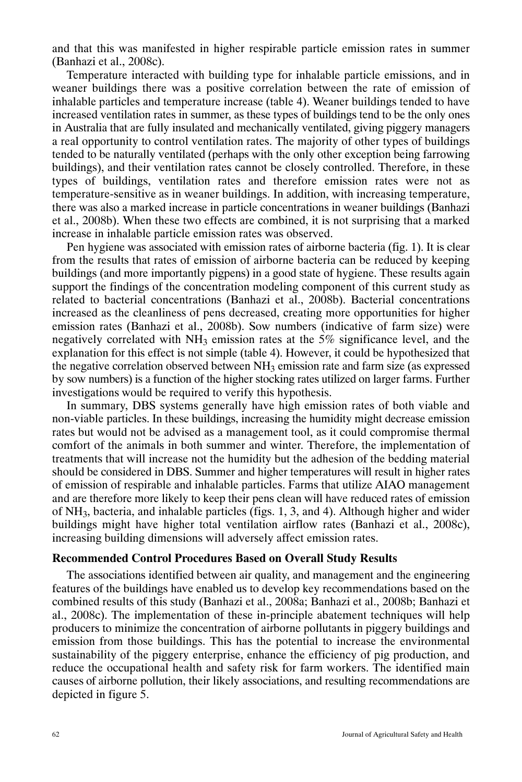and that this was manifested in higher respirable particle emission rates in summer (Banhazi et al., 2008c).

Temperature interacted with building type for inhalable particle emissions, and in weaner buildings there was a positive correlation between the rate of emission of inhalable particles and temperature increase (table 4). Weaner buildings tended to have increased ventilation rates in summer, as these types of buildings tend to be the only ones in Australia that are fully insulated and mechanically ventilated, giving piggery managers a real opportunity to control ventilation rates. The majority of other types of buildings tended to be naturally ventilated (perhaps with the only other exception being farrowing buildings), and their ventilation rates cannot be closely controlled. Therefore, in these types of buildings, ventilation rates and therefore emission rates were not as temperature‐sensitive as in weaner buildings. In addition, with increasing temperature, there was also a marked increase in particle concentrations in weaner buildings (Banhazi et al., 2008b). When these two effects are combined, it is not surprising that a marked increase in inhalable particle emission rates was observed.

Pen hygiene was associated with emission rates of airborne bacteria (fig. 1). It is clear from the results that rates of emission of airborne bacteria can be reduced by keeping buildings (and more importantly pigpens) in a good state of hygiene. These results again support the findings of the concentration modeling component of this current study as related to bacterial concentrations (Banhazi et al., 2008b). Bacterial concentrations increased as the cleanliness of pens decreased, creating more opportunities for higher emission rates (Banhazi et al., 2008b). Sow numbers (indicative of farm size) were negatively correlated with  $NH<sub>3</sub>$  emission rates at the 5% significance level, and the explanation for this effect is not simple (table 4). However, it could be hypothesized that the negative correlation observed between  $NH<sub>3</sub>$  emission rate and farm size (as expressed by sow numbers) is a function of the higher stocking rates utilized on larger farms. Further investigations would be required to verify this hypothesis.

In summary, DBS systems generally have high emission rates of both viable and non‐viable particles. In these buildings, increasing the humidity might decrease emission rates but would not be advised as a management tool, as it could compromise thermal comfort of the animals in both summer and winter. Therefore, the implementation of treatments that will increase not the humidity but the adhesion of the bedding material should be considered in DBS. Summer and higher temperatures will result in higher rates of emission of respirable and inhalable particles. Farms that utilize AIAO management and are therefore more likely to keep their pens clean will have reduced rates of emission of NH3, bacteria, and inhalable particles (figs. 1, 3, and 4). Although higher and wider buildings might have higher total ventilation airflow rates (Banhazi et al., 2008c), increasing building dimensions will adversely affect emission rates.

### **Recommended Control Procedures Based on Overall Study Results**

The associations identified between air quality, and management and the engineering features of the buildings have enabled us to develop key recommendations based on the combined results of this study (Banhazi et al., 2008a; Banhazi et al., 2008b; Banhazi et al., 2008c). The implementation of these in‐principle abatement techniques will help producers to minimize the concentration of airborne pollutants in piggery buildings and emission from those buildings. This has the potential to increase the environmental sustainability of the piggery enterprise, enhance the efficiency of pig production, and reduce the occupational health and safety risk for farm workers. The identified main causes of airborne pollution, their likely associations, and resulting recommendations are depicted in figure 5.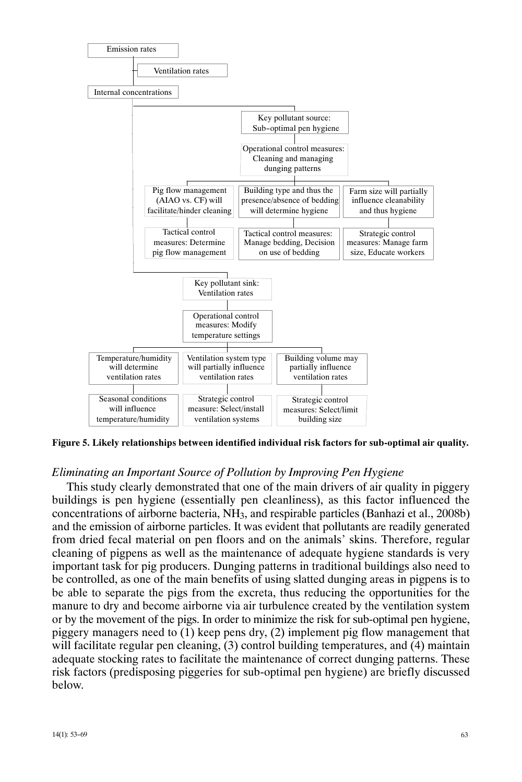

**Figure 5. Likely relationships between identified individual risk factors for sub‐optimal air quality.**

#### *Eliminating an Important Source of Pollution by Improving Pen Hygiene*

This study clearly demonstrated that one of the main drivers of air quality in piggery buildings is pen hygiene (essentially pen cleanliness), as this factor influenced the concentrations of airborne bacteria, NH3, and respirable particles (Banhazi et al., 2008b) and the emission of airborne particles. It was evident that pollutants are readily generated from dried fecal material on pen floors and on the animals' skins. Therefore, regular cleaning of pigpens as well as the maintenance of adequate hygiene standards is very important task for pig producers. Dunging patterns in traditional buildings also need to be controlled, as one of the main benefits of using slatted dunging areas in pigpens is to be able to separate the pigs from the excreta, thus reducing the opportunities for the manure to dry and become airborne via air turbulence created by the ventilation system or by the movement of the pigs. In order to minimize the risk for sub‐optimal pen hygiene, piggery managers need to (1) keep pens dry, (2) implement pig flow management that will facilitate regular pen cleaning, (3) control building temperatures, and (4) maintain adequate stocking rates to facilitate the maintenance of correct dunging patterns. These risk factors (predisposing piggeries for sub‐optimal pen hygiene) are briefly discussed below.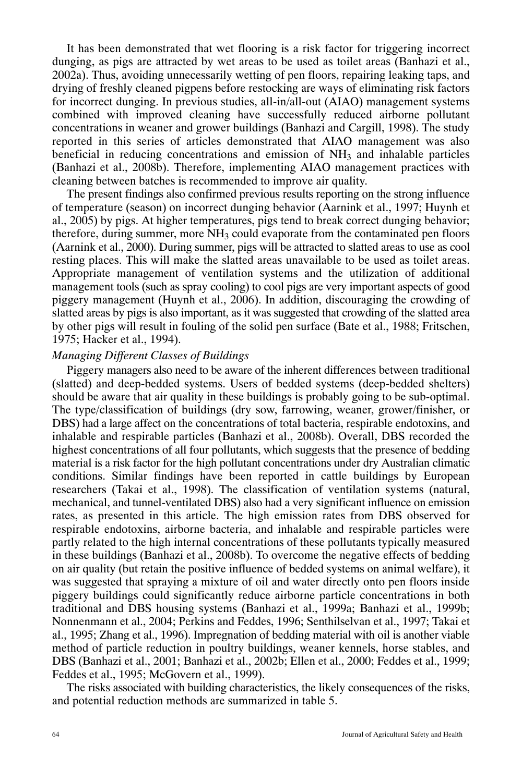It has been demonstrated that wet flooring is a risk factor for triggering incorrect dunging, as pigs are attracted by wet areas to be used as toilet areas (Banhazi et al., 2002a). Thus, avoiding unnecessarily wetting of pen floors, repairing leaking taps, and drying of freshly cleaned pigpens before restocking are ways of eliminating risk factors for incorrect dunging. In previous studies, all-in/all-out (AIAO) management systems combined with improved cleaning have successfully reduced airborne pollutant concentrations in weaner and grower buildings (Banhazi and Cargill, 1998). The study reported in this series of articles demonstrated that AIAO management was also beneficial in reducing concentrations and emission of  $NH<sub>3</sub>$  and inhalable particles (Banhazi et al., 2008b). Therefore, implementing AIAO management practices with cleaning between batches is recommended to improve air quality.

The present findings also confirmed previous results reporting on the strong influence of temperature (season) on incorrect dunging behavior (Aarnink et al., 1997; Huynh et al., 2005) by pigs. At higher temperatures, pigs tend to break correct dunging behavior; therefore, during summer, more  $NH<sub>3</sub>$  could evaporate from the contaminated pen floors (Aarnink et al., 2000). During summer, pigs will be attracted to slatted areas to use as cool resting places. This will make the slatted areas unavailable to be used as toilet areas. Appropriate management of ventilation systems and the utilization of additional management tools (such as spray cooling) to cool pigs are very important aspects of good piggery management (Huynh et al., 2006). In addition, discouraging the crowding of slatted areas by pigs is also important, as it was suggested that crowding of the slatted area by other pigs will result in fouling of the solid pen surface (Bate et al., 1988; Fritschen, 1975; Hacker et al., 1994).

### *Managing Different Classes of Buildings*

Piggery managers also need to be aware of the inherent differences between traditional (slatted) and deep‐bedded systems. Users of bedded systems (deep‐bedded shelters) should be aware that air quality in these buildings is probably going to be sub‐optimal. The type/classification of buildings (dry sow, farrowing, weaner, grower/finisher, or DBS) had a large affect on the concentrations of total bacteria, respirable endotoxins, and inhalable and respirable particles (Banhazi et al., 2008b). Overall, DBS recorded the highest concentrations of all four pollutants, which suggests that the presence of bedding material is a risk factor for the high pollutant concentrations under dry Australian climatic conditions. Similar findings have been reported in cattle buildings by European researchers (Takai et al., 1998). The classification of ventilation systems (natural, mechanical, and tunnel‐ventilated DBS) also had a very significant influence on emission rates, as presented in this article. The high emission rates from DBS observed for respirable endotoxins, airborne bacteria, and inhalable and respirable particles were partly related to the high internal concentrations of these pollutants typically measured in these buildings (Banhazi et al., 2008b). To overcome the negative effects of bedding on air quality (but retain the positive influence of bedded systems on animal welfare), it was suggested that spraying a mixture of oil and water directly onto pen floors inside piggery buildings could significantly reduce airborne particle concentrations in both traditional and DBS housing systems (Banhazi et al., 1999a; Banhazi et al., 1999b; Nonnenmann et al., 2004; Perkins and Feddes, 1996; Senthilselvan et al., 1997; Takai et al., 1995; Zhang et al., 1996). Impregnation of bedding material with oil is another viable method of particle reduction in poultry buildings, weaner kennels, horse stables, and DBS (Banhazi et al., 2001; Banhazi et al., 2002b; Ellen et al., 2000; Feddes et al., 1999; Feddes et al., 1995; McGovern et al., 1999).

The risks associated with building characteristics, the likely consequences of the risks, and potential reduction methods are summarized in table 5.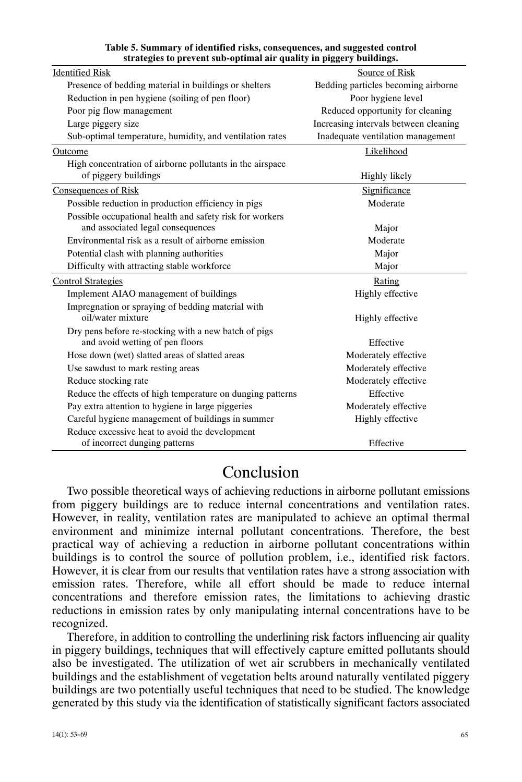| <u>res to prevent sub-optimum un quanty in piggery bunumgs.</u> |                                       |
|-----------------------------------------------------------------|---------------------------------------|
| <b>Identified Risk</b>                                          | Source of Risk                        |
| Presence of bedding material in buildings or shelters           | Bedding particles becoming airborne   |
| Reduction in pen hygiene (soiling of pen floor)                 | Poor hygiene level                    |
| Poor pig flow management                                        | Reduced opportunity for cleaning      |
| Large piggery size                                              | Increasing intervals between cleaning |
| Sub-optimal temperature, humidity, and ventilation rates        | Inadequate ventilation management     |
| Outcome                                                         | Likelihood                            |
| High concentration of airborne pollutants in the airspace       |                                       |
| of piggery buildings                                            | Highly likely                         |
| <b>Consequences of Risk</b>                                     | Significance                          |
| Possible reduction in production efficiency in pigs             | Moderate                              |
| Possible occupational health and safety risk for workers        |                                       |
| and associated legal consequences                               | Major                                 |
| Environmental risk as a result of airborne emission             | Moderate                              |
| Potential clash with planning authorities                       | Major                                 |
| Difficulty with attracting stable workforce                     | Major                                 |
| <b>Control Strategies</b>                                       | Rating                                |
| Implement AIAO management of buildings                          | Highly effective                      |
| Impregnation or spraying of bedding material with               |                                       |
| oil/water mixture                                               | Highly effective                      |
| Dry pens before re-stocking with a new batch of pigs            |                                       |
| and avoid wetting of pen floors                                 | Effective                             |
| Hose down (wet) slatted areas of slatted areas                  | Moderately effective                  |
| Use sawdust to mark resting areas                               | Moderately effective                  |
| Reduce stocking rate                                            | Moderately effective                  |
| Reduce the effects of high temperature on dunging patterns      | Effective                             |
| Pay extra attention to hygiene in large piggeries               | Moderately effective                  |
| Careful hygiene management of buildings in summer               | Highly effective                      |
| Reduce excessive heat to avoid the development                  |                                       |
| of incorrect dunging patterns                                   | Effective                             |
|                                                                 |                                       |

#### **Table 5. Summary of identified risks, consequences, and suggested control strategies to prevent sub‐optimal air quality in piggery buildings.**

# Conclusion

Two possible theoretical ways of achieving reductions in airborne pollutant emissions from piggery buildings are to reduce internal concentrations and ventilation rates. However, in reality, ventilation rates are manipulated to achieve an optimal thermal environment and minimize internal pollutant concentrations. Therefore, the best practical way of achieving a reduction in airborne pollutant concentrations within buildings is to control the source of pollution problem, i.e., identified risk factors. However, it is clear from our results that ventilation rates have a strong association with emission rates. Therefore, while all effort should be made to reduce internal concentrations and therefore emission rates, the limitations to achieving drastic reductions in emission rates by only manipulating internal concentrations have to be recognized.

Therefore, in addition to controlling the underlining risk factors influencing air quality in piggery buildings, techniques that will effectively capture emitted pollutants should also be investigated. The utilization of wet air scrubbers in mechanically ventilated buildings and the establishment of vegetation belts around naturally ventilated piggery buildings are two potentially useful techniques that need to be studied. The knowledge generated by this study via the identification of statistically significant factors associated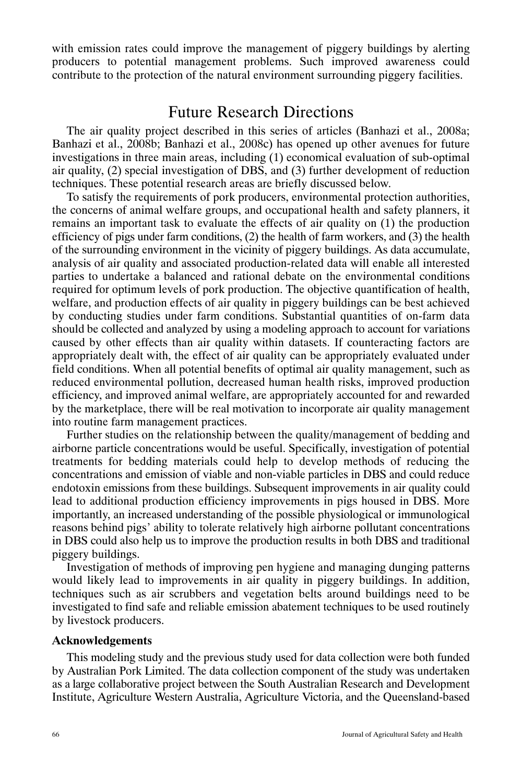with emission rates could improve the management of piggery buildings by alerting producers to potential management problems. Such improved awareness could contribute to the protection of the natural environment surrounding piggery facilities.

# Future Research Directions

The air quality project described in this series of articles (Banhazi et al., 2008a; Banhazi et al., 2008b; Banhazi et al., 2008c) has opened up other avenues for future investigations in three main areas, including (1) economical evaluation of sub‐optimal air quality, (2) special investigation of DBS, and (3) further development of reduction techniques. These potential research areas are briefly discussed below.

To satisfy the requirements of pork producers, environmental protection authorities, the concerns of animal welfare groups, and occupational health and safety planners, it remains an important task to evaluate the effects of air quality on (1) the production efficiency of pigs under farm conditions, (2) the health of farm workers, and (3) the health of the surrounding environment in the vicinity of piggery buildings. As data accumulate, analysis of air quality and associated production‐related data will enable all interested parties to undertake a balanced and rational debate on the environmental conditions required for optimum levels of pork production. The objective quantification of health, welfare, and production effects of air quality in piggery buildings can be best achieved by conducting studies under farm conditions. Substantial quantities of on‐farm data should be collected and analyzed by using a modeling approach to account for variations caused by other effects than air quality within datasets. If counteracting factors are appropriately dealt with, the effect of air quality can be appropriately evaluated under field conditions. When all potential benefits of optimal air quality management, such as reduced environmental pollution, decreased human health risks, improved production efficiency, and improved animal welfare, are appropriately accounted for and rewarded by the marketplace, there will be real motivation to incorporate air quality management into routine farm management practices.

Further studies on the relationship between the quality/management of bedding and airborne particle concentrations would be useful. Specifically, investigation of potential treatments for bedding materials could help to develop methods of reducing the concentrations and emission of viable and non‐viable particles in DBS and could reduce endotoxin emissions from these buildings. Subsequent improvements in air quality could lead to additional production efficiency improvements in pigs housed in DBS. More importantly, an increased understanding of the possible physiological or immunological reasons behind pigs' ability to tolerate relatively high airborne pollutant concentrations in DBS could also help us to improve the production results in both DBS and traditional piggery buildings.

Investigation of methods of improving pen hygiene and managing dunging patterns would likely lead to improvements in air quality in piggery buildings. In addition, techniques such as air scrubbers and vegetation belts around buildings need to be investigated to find safe and reliable emission abatement techniques to be used routinely by livestock producers.

#### **Acknowledgements**

This modeling study and the previous study used for data collection were both funded by Australian Pork Limited. The data collection component of the study was undertaken as a large collaborative project between the South Australian Research and Development Institute, Agriculture Western Australia, Agriculture Victoria, and the Queensland‐based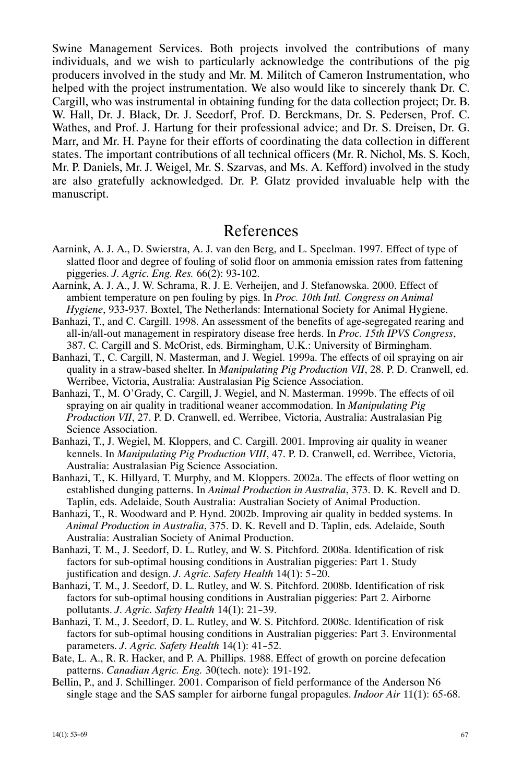Swine Management Services. Both projects involved the contributions of many individuals, and we wish to particularly acknowledge the contributions of the pig producers involved in the study and Mr. M. Militch of Cameron Instrumentation, who helped with the project instrumentation. We also would like to sincerely thank Dr. C. Cargill, who was instrumental in obtaining funding for the data collection project; Dr. B. W. Hall, Dr. J. Black, Dr. J. Seedorf, Prof. D. Berckmans, Dr. S. Pedersen, Prof. C. Wathes, and Prof. J. Hartung for their professional advice; and Dr. S. Dreisen, Dr. G. Marr, and Mr. H. Payne for their efforts of coordinating the data collection in different states. The important contributions of all technical officers (Mr. R. Nichol, Ms. S. Koch, Mr. P. Daniels, Mr. J. Weigel, Mr. S. Szarvas, and Ms. A. Kefford) involved in the study are also gratefully acknowledged. Dr. P. Glatz provided invaluable help with the manuscript.

# References

- Aarnink, A. J. A., D. Swierstra, A. J. van den Berg, and L. Speelman. 1997. Effect of type of slatted floor and degree of fouling of solid floor on ammonia emission rates from fattening piggeries. *J. Agric. Eng. Res.* 66(2): 93‐102.
- Aarnink, A. J. A., J. W. Schrama, R. J. E. Verheijen, and J. Stefanowska. 2000. Effect of ambient temperature on pen fouling by pigs. In *Proc. 10th Intl. Congress on Animal Hygiene*, 933‐937. Boxtel, The Netherlands: International Society for Animal Hygiene.
- Banhazi, T., and C. Cargill. 1998. An assessment of the benefits of age‐segregated rearing and all‐in/all‐out management in respiratory disease free herds. In *Proc. 15th IPVS Congress*, 387. C. Cargill and S. McOrist, eds. Birmingham, U.K.: University of Birmingham.
- Banhazi, T., C. Cargill, N. Masterman, and J. Wegiel. 1999a. The effects of oil spraying on air quality in a straw‐based shelter. In *Manipulating Pig Production VII*, 28. P. D. Cranwell, ed. Werribee, Victoria, Australia: Australasian Pig Science Association.
- Banhazi, T., M. O'Grady, C. Cargill, J. Wegiel, and N. Masterman. 1999b. The effects of oil spraying on air quality in traditional weaner accommodation. In *Manipulating Pig Production VII*, 27. P. D. Cranwell, ed. Werribee, Victoria, Australia: Australasian Pig Science Association.
- Banhazi, T., J. Wegiel, M. Kloppers, and C. Cargill. 2001. Improving air quality in weaner kennels. In *Manipulating Pig Production VIII*, 47. P. D. Cranwell, ed. Werribee, Victoria, Australia: Australasian Pig Science Association.
- Banhazi, T., K. Hillyard, T. Murphy, and M. Kloppers. 2002a. The effects of floor wetting on established dunging patterns. In *Animal Production in Australia*, 373. D. K. Revell and D. Taplin, eds. Adelaide, South Australia: Australian Society of Animal Production.
- Banhazi, T., R. Woodward and P. Hynd. 2002b. Improving air quality in bedded systems. In *Animal Production in Australia*, 375. D. K. Revell and D. Taplin, eds. Adelaide, South Australia: Australian Society of Animal Production.
- Banhazi, T. M., J. Seedorf, D. L. Rutley, and W. S. Pitchford. 2008a. Identification of risk factors for sub-optimal housing conditions in Australian piggeries: Part 1. Study justification and design. *J. Agric. Safety Health* 14(1): 5-20.
- Banhazi, T. M., J. Seedorf, D. L. Rutley, and W. S. Pitchford. 2008b. Identification of risk factors for sub‐optimal housing conditions in Australian piggeries: Part 2. Airborne pollutants. *J. Agric. Safety Health* 14(1): 21-39.
- Banhazi, T. M., J. Seedorf, D. L. Rutley, and W. S. Pitchford. 2008c. Identification of risk factors for sub‐optimal housing conditions in Australian piggeries: Part 3. Environmental parameters. *J. Agric. Safety Health* 14(1): 41-52.
- Bate, L. A., R. R. Hacker, and P. A. Phillips. 1988. Effect of growth on porcine defecation patterns. *Canadian Agric. Eng.* 30(tech. note): 191‐192.
- Bellin, P., and J. Schillinger. 2001. Comparison of field performance of the Anderson N6 single stage and the SAS sampler for airborne fungal propagules. *Indoor Air* 11(1): 65‐68.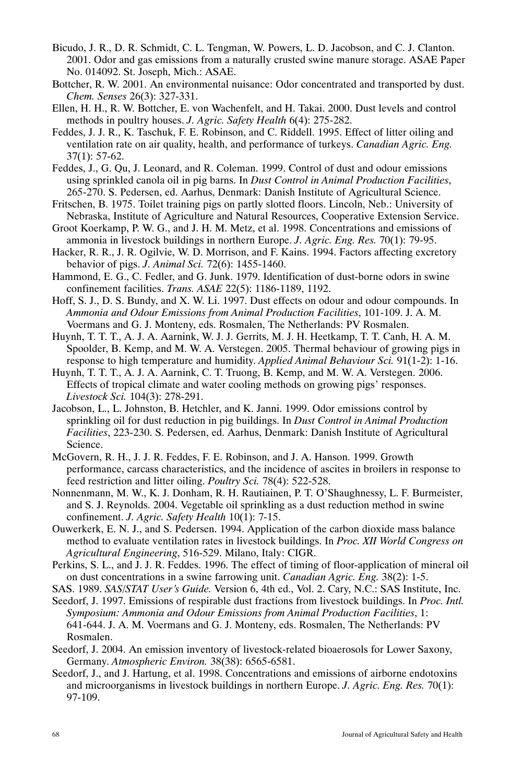- Bicudo, J. R., D. R. Schmidt, C. L. Tengman, W. Powers, L. D. Jacobson, and C. J. Clanton. 2001. Odor and gas emissions from a naturally crusted swine manure storage. ASAE Paper No. 014092. St. Joseph, Mich.: ASAE.
- Bottcher, R. W. 2001. An environmental nuisance: Odor concentrated and transported by dust. *Chem. Senses* 26(3): 327‐331.
- Ellen, H. H., R. W. Bottcher, E. von Wachenfelt, and H. Takai. 2000. Dust levels and control methods in poultry houses. *J. Agric. Safety Health* 6(4): 275‐282.
- Feddes, J. J. R., K. Taschuk, F. E. Robinson, and C. Riddell. 1995. Effect of litter oiling and ventilation rate on air quality, health, and performance of turkeys. *Canadian Agric. Eng.* 37(1): 57‐62.
- Feddes, J., G. Qu, J. Leonard, and R. Coleman. 1999. Control of dust and odour emissions using sprinkled canola oil in pig barns. In *Dust Control in Animal Production Facilities*, 265‐270. S. Pedersen, ed. Aarhus, Denmark: Danish Institute of Agricultural Science.
- Fritschen, B. 1975. Toilet training pigs on partly slotted floors. Lincoln, Neb.: University of Nebraska, Institute of Agriculture and Natural Resources, Cooperative Extension Service.
- Groot Koerkamp, P. W. G., and J. H. M. Metz, et al. 1998. Concentrations and emissions of ammonia in livestock buildings in northern Europe. *J. Agric. Eng. Res.* 70(1): 79‐95.
- Hacker, R. R., J. R. Ogilvie, W. D. Morrison, and F. Kains. 1994. Factors affecting excretory behavior of pigs. *J. Animal Sci.* 72(6): 1455‐1460.
- Hammond, E. G., C. Fedler, and G. Junk. 1979. Identification of dust-borne odors in swine confinement facilities. *Trans. ASAE* 22(5): 1186‐1189, 1192.
- Hoff, S. J., D. S. Bundy, and X. W. Li. 1997. Dust effects on odour and odour compounds. In *Ammonia and Odour Emissions from Animal Production Facilities*, 101‐109. J. A. M. Voermans and G. J. Monteny, eds. Rosmalen, The Netherlands: PV Rosmalen.
- Huynh, T. T. T., A. J. A. Aarnink, W. J. J. Gerrits, M. J. H. Heetkamp, T. T. Canh, H. A. M. Spoolder, B. Kemp, and M. W. A. Verstegen. 2005. Thermal behaviour of growing pigs in response to high temperature and humidity. *Applied Animal Behaviour Sci.* 91(1‐2): 1‐16.
- Huynh, T. T. T., A. J. A. Aarnink, C. T. Truong, B. Kemp, and M. W. A. Verstegen. 2006. Effects of tropical climate and water cooling methods on growing pigs' responses. *Livestock Sci.* 104(3): 278‐291.
- Jacobson, L., L. Johnston, B. Hetchler, and K. Janni. 1999. Odor emissions control by sprinkling oil for dust reduction in pig buildings. In *Dust Control in Animal Production Facilities*, 223‐230. S. Pedersen, ed. Aarhus, Denmark: Danish Institute of Agricultural Science.
- McGovern, R. H., J. J. R. Feddes, F. E. Robinson, and J. A. Hanson. 1999. Growth performance, carcass characteristics, and the incidence of ascites in broilers in response to feed restriction and litter oiling. *Poultry Sci.* 78(4): 522-528.
- Nonnenmann, M. W., K. J. Donham, R. H. Rautiainen, P. T. O'Shaughnessy, L. F. Burmeister, and S. J. Reynolds. 2004. Vegetable oil sprinkling as a dust reduction method in swine confinement. *J. Agric. Safety Health* 10(1): 7‐15.
- Ouwerkerk, E. N. J., and S. Pedersen. 1994. Application of the carbon dioxide mass balance method to evaluate ventilation rates in livestock buildings. In *Proc. XII World Congress on Agricultural Engineering*, 516‐529. Milano, Italy: CIGR.
- Perkins, S. L., and J. J. R. Feddes. 1996. The effect of timing of floor‐application of mineral oil on dust concentrations in a swine farrowing unit. *Canadian Agric. Eng.* 38(2): 1‐5.
- SAS. 1989. *SAS/STAT User's Guide.* Version 6, 4th ed., Vol. 2. Cary, N.C.: SAS Institute, Inc.
- Seedorf, J. 1997. Emissions of respirable dust fractions from livestock buildings. In *Proc. Intl. Symposium: Ammonia and Odour Emissions from Animal Production Facilities*, 1: 641‐644. J. A. M. Voermans and G. J. Monteny, eds. Rosmalen, The Netherlands: PV Rosmalen.
- Seedorf, J. 2004. An emission inventory of livestock‐related bioaerosols for Lower Saxony, Germany. *Atmospheric Environ.* 38(38): 6565‐6581.
- Seedorf, J., and J. Hartung, et al. 1998. Concentrations and emissions of airborne endotoxins and microorganisms in livestock buildings in northern Europe. *J. Agric. Eng. Res.* 70(1): 97‐109.